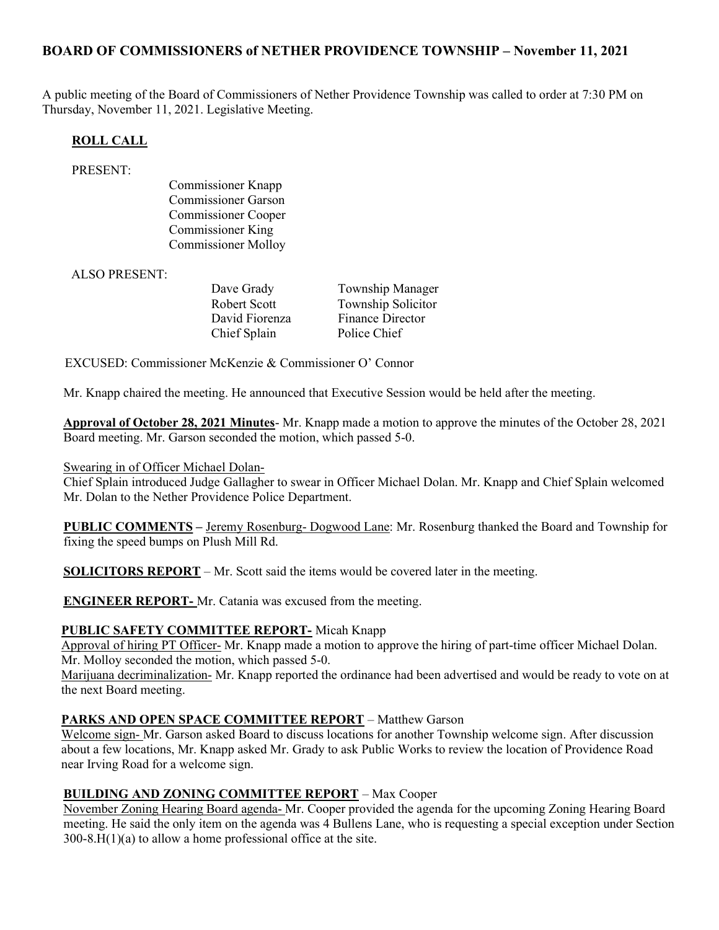# BOARD OF COMMISSIONERS of NETHER PROVIDENCE TOWNSHIP – November 11, 2021

A public meeting of the Board of Commissioners of Nether Providence Township was called to order at 7:30 PM on Thursday, November 11, 2021. Legislative Meeting.

### ROLL CALL

#### PRESENT:

Commissioner Knapp Commissioner Garson Commissioner Cooper Commissioner King Commissioner Molloy

ALSO PRESENT:

Dave Grady Township Manager Robert Scott Township Solicitor David Fiorenza Finance Director Chief Splain Police Chief

EXCUSED: Commissioner McKenzie & Commissioner O' Connor

Mr. Knapp chaired the meeting. He announced that Executive Session would be held after the meeting.

Approval of October 28, 2021 Minutes- Mr. Knapp made a motion to approve the minutes of the October 28, 2021 Board meeting. Mr. Garson seconded the motion, which passed 5-0.

### Swearing in of Officer Michael Dolan-

Chief Splain introduced Judge Gallagher to swear in Officer Michael Dolan. Mr. Knapp and Chief Splain welcomed Mr. Dolan to the Nether Providence Police Department.

PUBLIC COMMENTS – Jeremy Rosenburg- Dogwood Lane: Mr. Rosenburg thanked the Board and Township for fixing the speed bumps on Plush Mill Rd.

SOLICITORS REPORT – Mr. Scott said the items would be covered later in the meeting.

ENGINEER REPORT- Mr. Catania was excused from the meeting.

### PUBLIC SAFETY COMMITTEE REPORT- Micah Knapp

Approval of hiring PT Officer- Mr. Knapp made a motion to approve the hiring of part-time officer Michael Dolan. Mr. Molloy seconded the motion, which passed 5-0.

Marijuana decriminalization- Mr. Knapp reported the ordinance had been advertised and would be ready to vote on at the next Board meeting.

### PARKS AND OPEN SPACE COMMITTEE REPORT – Matthew Garson

Welcome sign- Mr. Garson asked Board to discuss locations for another Township welcome sign. After discussion about a few locations, Mr. Knapp asked Mr. Grady to ask Public Works to review the location of Providence Road near Irving Road for a welcome sign.

### BUILDING AND ZONING COMMITTEE REPORT – Max Cooper

November Zoning Hearing Board agenda- Mr. Cooper provided the agenda for the upcoming Zoning Hearing Board meeting. He said the only item on the agenda was 4 Bullens Lane, who is requesting a special exception under Section  $300-8.H(1)(a)$  to allow a home professional office at the site.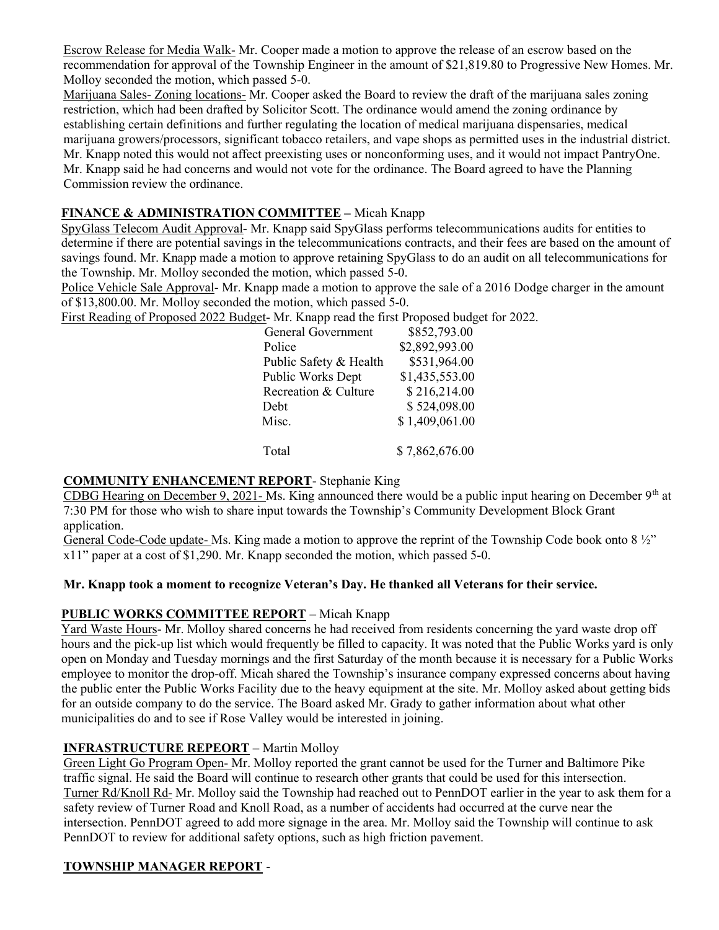Escrow Release for Media Walk- Mr. Cooper made a motion to approve the release of an escrow based on the recommendation for approval of the Township Engineer in the amount of \$21,819.80 to Progressive New Homes. Mr. Molloy seconded the motion, which passed 5-0.

Marijuana Sales- Zoning locations- Mr. Cooper asked the Board to review the draft of the marijuana sales zoning restriction, which had been drafted by Solicitor Scott. The ordinance would amend the zoning ordinance by establishing certain definitions and further regulating the location of medical marijuana dispensaries, medical marijuana growers/processors, significant tobacco retailers, and vape shops as permitted uses in the industrial district. Mr. Knapp noted this would not affect preexisting uses or nonconforming uses, and it would not impact PantryOne. Mr. Knapp said he had concerns and would not vote for the ordinance. The Board agreed to have the Planning Commission review the ordinance.

# FINANCE & ADMINISTRATION COMMITTEE – Micah Knapp

SpyGlass Telecom Audit Approval- Mr. Knapp said SpyGlass performs telecommunications audits for entities to determine if there are potential savings in the telecommunications contracts, and their fees are based on the amount of savings found. Mr. Knapp made a motion to approve retaining SpyGlass to do an audit on all telecommunications for the Township. Mr. Molloy seconded the motion, which passed 5-0.

Police Vehicle Sale Approval- Mr. Knapp made a motion to approve the sale of a 2016 Dodge charger in the amount of \$13,800.00. Mr. Molloy seconded the motion, which passed 5-0.

First Reading of Proposed 2022 Budget- Mr. Knapp read the first Proposed budget for 2022.

| General Government     | \$852,793.00   |
|------------------------|----------------|
| Police                 | \$2,892,993.00 |
| Public Safety & Health | \$531,964.00   |
| Public Works Dept      | \$1,435,553.00 |
| Recreation & Culture   | \$216,214.00   |
| Debt                   | \$524,098.00   |
| Misc.                  | \$1,409,061.00 |
|                        |                |
| Total                  | \$7,862,676.00 |

### COMMUNITY ENHANCEMENT REPORT- Stephanie King

CDBG Hearing on December 9, 2021- Ms. King announced there would be a public input hearing on December  $9<sup>th</sup>$  at 7:30 PM for those who wish to share input towards the Township's Community Development Block Grant application.

General Code-Code update- Ms. King made a motion to approve the reprint of the Township Code book onto 8 ½" x11" paper at a cost of \$1,290. Mr. Knapp seconded the motion, which passed 5-0.

### Mr. Knapp took a moment to recognize Veteran's Day. He thanked all Veterans for their service.

### PUBLIC WORKS COMMITTEE REPORT – Micah Knapp

Yard Waste Hours- Mr. Molloy shared concerns he had received from residents concerning the yard waste drop off hours and the pick-up list which would frequently be filled to capacity. It was noted that the Public Works yard is only open on Monday and Tuesday mornings and the first Saturday of the month because it is necessary for a Public Works employee to monitor the drop-off. Micah shared the Township's insurance company expressed concerns about having the public enter the Public Works Facility due to the heavy equipment at the site. Mr. Molloy asked about getting bids for an outside company to do the service. The Board asked Mr. Grady to gather information about what other municipalities do and to see if Rose Valley would be interested in joining.

### INFRASTRUCTURE REPEORT – Martin Molloy

Green Light Go Program Open- Mr. Molloy reported the grant cannot be used for the Turner and Baltimore Pike traffic signal. He said the Board will continue to research other grants that could be used for this intersection. Turner Rd/Knoll Rd- Mr. Molloy said the Township had reached out to PennDOT earlier in the year to ask them for a safety review of Turner Road and Knoll Road, as a number of accidents had occurred at the curve near the intersection. PennDOT agreed to add more signage in the area. Mr. Molloy said the Township will continue to ask PennDOT to review for additional safety options, such as high friction pavement.

#### TOWNSHIP MANAGER REPORT -